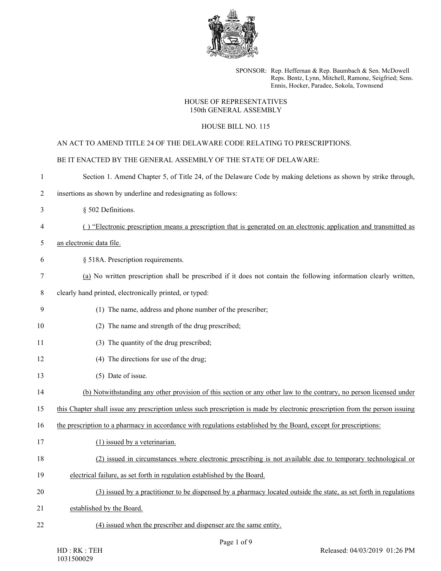

SPONSOR: Rep. Heffernan & Rep. Baumbach & Sen. McDowell Reps. Bentz, Lynn, Mitchell, Ramone, Seigfried; Sens. Ennis, Hocker, Paradee, Sokola, Townsend

## HOUSE OF REPRESENTATIVES 150th GENERAL ASSEMBLY

## HOUSE BILL NO. 115

## AN ACT TO AMEND TITLE 24 OF THE DELAWARE CODE RELATING TO PRESCRIPTIONS.

|                | BE IT ENACTED BY THE GENERAL ASSEMBLY OF THE STATE OF DELAWARE:                                                               |
|----------------|-------------------------------------------------------------------------------------------------------------------------------|
| 1              | Section 1. Amend Chapter 5, of Title 24, of the Delaware Code by making deletions as shown by strike through,                 |
| $\overline{c}$ | insertions as shown by underline and redesignating as follows:                                                                |
| 3              | § 502 Definitions.                                                                                                            |
| 4              | () "Electronic prescription means a prescription that is generated on an electronic application and transmitted as            |
| 5              | an electronic data file.                                                                                                      |
| 6              | § 518A. Prescription requirements.                                                                                            |
| 7              | (a) No written prescription shall be prescribed if it does not contain the following information clearly written,             |
| 8              | clearly hand printed, electronically printed, or typed:                                                                       |
| 9              | (1) The name, address and phone number of the prescriber;                                                                     |
| 10             | (2) The name and strength of the drug prescribed;                                                                             |
| 11             | (3) The quantity of the drug prescribed;                                                                                      |
| 12             | (4) The directions for use of the drug;                                                                                       |
| 13             | (5) Date of issue.                                                                                                            |
| 14             | (b) Notwithstanding any other provision of this section or any other law to the contrary, no person licensed under            |
| 15             | this Chapter shall issue any prescription unless such prescription is made by electronic prescription from the person issuing |
| 16             | the prescription to a pharmacy in accordance with regulations established by the Board, except for prescriptions:             |
| 17             | (1) issued by a veterinarian.                                                                                                 |
| 18             | (2) issued in circumstances where electronic prescribing is not available due to temporary technological or                   |
| 19             | electrical failure, as set forth in regulation established by the Board.                                                      |
| 20             | (3) issued by a practitioner to be dispensed by a pharmacy located outside the state, as set forth in regulations             |
| 21             | established by the Board.                                                                                                     |
| 22             | (4) issued when the prescriber and dispenser are the same entity.                                                             |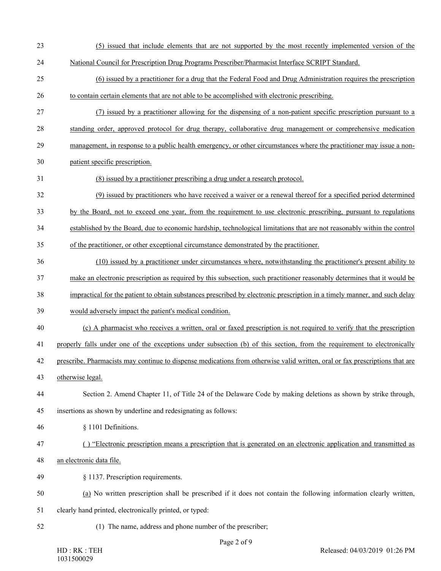- (5) issued that include elements that are not supported by the most recently implemented version of the
- National Council for Prescription Drug Programs Prescriber/Pharmacist Interface SCRIPT Standard.
- (6) issued by a practitioner for a drug that the Federal Food and Drug Administration requires the prescription to contain certain elements that are not able to be accomplished with electronic prescribing.
- (7) issued by a practitioner allowing for the dispensing of a non-patient specific prescription pursuant to a standing order, approved protocol for drug therapy, collaborative drug management or comprehensive medication
- 29 management, in response to a public health emergency, or other circumstances where the practitioner may issue a non-
- patient specific prescription.
- (8) issued by a practitioner prescribing a drug under a research protocol.
- (9) issued by practitioners who have received a waiver or a renewal thereof for a specified period determined
- by the Board, not to exceed one year, from the requirement to use electronic prescribing, pursuant to regulations
- established by the Board, due to economic hardship, technological limitations that are not reasonably within the control
- of the practitioner, or other exceptional circumstance demonstrated by the practitioner.
- (10) issued by a practitioner under circumstances where, notwithstanding the practitioner's present ability to
- make an electronic prescription as required by this subsection, such practitioner reasonably determines that it would be
- impractical for the patient to obtain substances prescribed by electronic prescription in a timely manner, and such delay
- would adversely impact the patient's medical condition.
- (c) A pharmacist who receives a written, oral or faxed prescription is not required to verify that the prescription
- properly falls under one of the exceptions under subsection (b) of this section, from the requirement to electronically
- prescribe. Pharmacists may continue to dispense medications from otherwise valid written, oral or fax prescriptions that are
- otherwise legal.
- Section 2. Amend Chapter 11, of Title 24 of the Delaware Code by making deletions as shown by strike through,
- insertions as shown by underline and redesignating as follows:
- § 1101 Definitions.
- ( ) "Electronic prescription means a prescription that is generated on an electronic application and transmitted as
- an electronic data file.
- § 1137. Prescription requirements.
- (a) No written prescription shall be prescribed if it does not contain the following information clearly written,
- clearly hand printed, electronically printed, or typed:
- 
- (1) The name, address and phone number of the prescriber;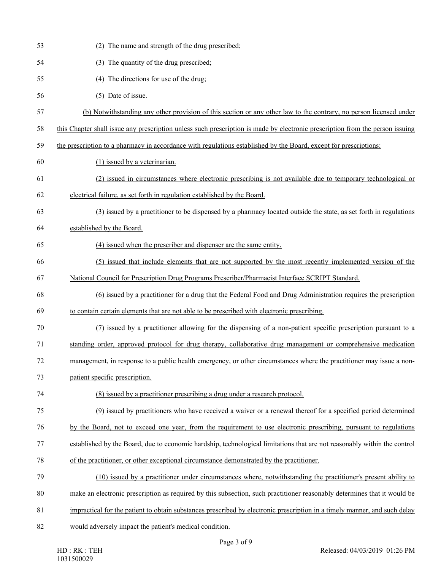| 53 | (2) The name and strength of the drug prescribed;                                                                             |
|----|-------------------------------------------------------------------------------------------------------------------------------|
| 54 | (3) The quantity of the drug prescribed;                                                                                      |
| 55 | (4) The directions for use of the drug;                                                                                       |
| 56 | (5) Date of issue.                                                                                                            |
| 57 | (b) Notwithstanding any other provision of this section or any other law to the contrary, no person licensed under            |
| 58 | this Chapter shall issue any prescription unless such prescription is made by electronic prescription from the person issuing |
| 59 | the prescription to a pharmacy in accordance with regulations established by the Board, except for prescriptions:             |
| 60 | (1) issued by a veterinarian.                                                                                                 |
| 61 | (2) issued in circumstances where electronic prescribing is not available due to temporary technological or                   |
| 62 | electrical failure, as set forth in regulation established by the Board.                                                      |
| 63 | (3) issued by a practitioner to be dispensed by a pharmacy located outside the state, as set forth in regulations             |
| 64 | established by the Board.                                                                                                     |
| 65 | (4) issued when the prescriber and dispenser are the same entity.                                                             |
| 66 | (5) issued that include elements that are not supported by the most recently implemented version of the                       |
| 67 | National Council for Prescription Drug Programs Prescriber/Pharmacist Interface SCRIPT Standard.                              |
| 68 | (6) issued by a practitioner for a drug that the Federal Food and Drug Administration requires the prescription               |
| 69 | to contain certain elements that are not able to be prescribed with electronic prescribing.                                   |
| 70 | (7) issued by a practitioner allowing for the dispensing of a non-patient specific prescription pursuant to a                 |
| 71 | standing order, approved protocol for drug therapy, collaborative drug management or comprehensive medication                 |
| 72 | management, in response to a public health emergency, or other circumstances where the practitioner may issue a non-          |
| 73 | patient specific prescription.                                                                                                |
| 74 | (8) issued by a practitioner prescribing a drug under a research protocol.                                                    |
| 75 | (9) issued by practitioners who have received a waiver or a renewal thereof for a specified period determined                 |
| 76 | by the Board, not to exceed one year, from the requirement to use electronic prescribing, pursuant to regulations             |
| 77 | established by the Board, due to economic hardship, technological limitations that are not reasonably within the control      |
| 78 | of the practitioner, or other exceptional circumstance demonstrated by the practitioner.                                      |
| 79 | (10) issued by a practitioner under circumstances where, notwithstanding the practitioner's present ability to                |
| 80 | make an electronic prescription as required by this subsection, such practitioner reasonably determines that it would be      |
| 81 | impractical for the patient to obtain substances prescribed by electronic prescription in a timely manner, and such delay     |
| 82 | would adversely impact the patient's medical condition.                                                                       |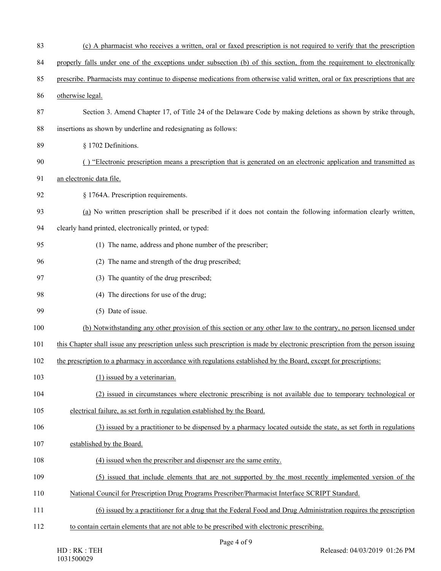| 83  | (c) A pharmacist who receives a written, oral or faxed prescription is not required to verify that the prescription           |
|-----|-------------------------------------------------------------------------------------------------------------------------------|
| 84  | properly falls under one of the exceptions under subsection (b) of this section, from the requirement to electronically       |
| 85  | prescribe. Pharmacists may continue to dispense medications from otherwise valid written, oral or fax prescriptions that are  |
| 86  | otherwise legal.                                                                                                              |
| 87  | Section 3. Amend Chapter 17, of Title 24 of the Delaware Code by making deletions as shown by strike through,                 |
| 88  | insertions as shown by underline and redesignating as follows:                                                                |
| 89  | § 1702 Definitions.                                                                                                           |
| 90  | () "Electronic prescription means a prescription that is generated on an electronic application and transmitted as            |
| 91  | an electronic data file.                                                                                                      |
| 92  | § 1764A. Prescription requirements.                                                                                           |
| 93  | (a) No written prescription shall be prescribed if it does not contain the following information clearly written,             |
| 94  | clearly hand printed, electronically printed, or typed:                                                                       |
| 95  | (1) The name, address and phone number of the prescriber;                                                                     |
| 96  | (2) The name and strength of the drug prescribed;                                                                             |
| 97  | (3) The quantity of the drug prescribed;                                                                                      |
| 98  | (4) The directions for use of the drug;                                                                                       |
| 99  | (5) Date of issue.                                                                                                            |
| 100 | (b) Notwithstanding any other provision of this section or any other law to the contrary, no person licensed under            |
| 101 | this Chapter shall issue any prescription unless such prescription is made by electronic prescription from the person issuing |
| 102 | the prescription to a pharmacy in accordance with regulations established by the Board, except for prescriptions:             |
| 103 | (1) issued by a veterinarian.                                                                                                 |
| 104 | (2) issued in circumstances where electronic prescribing is not available due to temporary technological or                   |
| 105 | electrical failure, as set forth in regulation established by the Board.                                                      |
| 106 | (3) issued by a practitioner to be dispensed by a pharmacy located outside the state, as set forth in regulations             |
| 107 | established by the Board.                                                                                                     |
| 108 | (4) issued when the prescriber and dispenser are the same entity.                                                             |
| 109 | (5) issued that include elements that are not supported by the most recently implemented version of the                       |
| 110 | National Council for Prescription Drug Programs Prescriber/Pharmacist Interface SCRIPT Standard.                              |
| 111 | (6) issued by a practitioner for a drug that the Federal Food and Drug Administration requires the prescription               |
| 112 | to contain certain elements that are not able to be prescribed with electronic prescribing.                                   |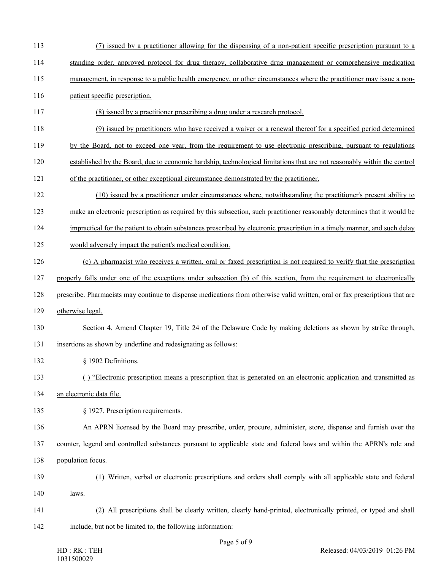- (7) issued by a practitioner allowing for the dispensing of a non-patient specific prescription pursuant to a
- standing order, approved protocol for drug therapy, collaborative drug management or comprehensive medication
- 115 management, in response to a public health emergency, or other circumstances where the practitioner may issue a non-
- 116 patient specific prescription.
- (8) issued by a practitioner prescribing a drug under a research protocol.
- (9) issued by practitioners who have received a waiver or a renewal thereof for a specified period determined
- by the Board, not to exceed one year, from the requirement to use electronic prescribing, pursuant to regulations
- established by the Board, due to economic hardship, technological limitations that are not reasonably within the control
- of the practitioner, or other exceptional circumstance demonstrated by the practitioner.
- (10) issued by a practitioner under circumstances where, notwithstanding the practitioner's present ability to
- make an electronic prescription as required by this subsection, such practitioner reasonably determines that it would be
- impractical for the patient to obtain substances prescribed by electronic prescription in a timely manner, and such delay
- would adversely impact the patient's medical condition.
- (c) A pharmacist who receives a written, oral or faxed prescription is not required to verify that the prescription
- properly falls under one of the exceptions under subsection (b) of this section, from the requirement to electronically
- prescribe. Pharmacists may continue to dispense medications from otherwise valid written, oral or fax prescriptions that are
- otherwise legal.
- Section 4. Amend Chapter 19, Title 24 of the Delaware Code by making deletions as shown by strike through, insertions as shown by underline and redesignating as follows:
- 132 § 1902 Definitions.
- ( ) "Electronic prescription means a prescription that is generated on an electronic application and transmitted as
- an electronic data file.
- § 1927. Prescription requirements.
- An APRN licensed by the Board may prescribe, order, procure, administer, store, dispense and furnish over the
- counter, legend and controlled substances pursuant to applicable state and federal laws and within the APRN's role and population focus.
- - (1) Written, verbal or electronic prescriptions and orders shall comply with all applicable state and federal laws.
	- (2) All prescriptions shall be clearly written, clearly hand-printed, electronically printed, or typed and shall include, but not be limited to, the following information: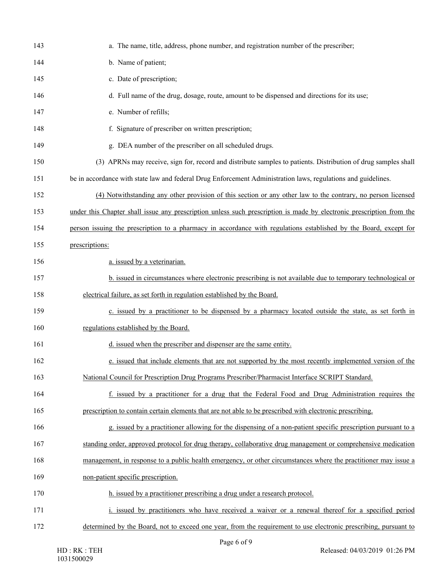| 143 | a. The name, title, address, phone number, and registration number of the prescriber;                                |
|-----|----------------------------------------------------------------------------------------------------------------------|
| 144 | b. Name of patient;                                                                                                  |
| 145 | c. Date of prescription;                                                                                             |
| 146 | d. Full name of the drug, dosage, route, amount to be dispensed and directions for its use;                          |
| 147 | e. Number of refills;                                                                                                |
| 148 | f. Signature of prescriber on written prescription;                                                                  |
| 149 | g. DEA number of the prescriber on all scheduled drugs.                                                              |
| 150 | (3) APRNs may receive, sign for, record and distribute samples to patients. Distribution of drug samples shall       |
| 151 | be in accordance with state law and federal Drug Enforcement Administration laws, regulations and guidelines.        |
| 152 | (4) Notwithstanding any other provision of this section or any other law to the contrary, no person licensed         |
| 153 | under this Chapter shall issue any prescription unless such prescription is made by electronic prescription from the |
| 154 | person issuing the prescription to a pharmacy in accordance with regulations established by the Board, except for    |
| 155 | prescriptions:                                                                                                       |
| 156 | a. issued by a veterinarian.                                                                                         |
| 157 | b. issued in circumstances where electronic prescribing is not available due to temporary technological or           |
| 158 | electrical failure, as set forth in regulation established by the Board.                                             |
| 159 | c. issued by a practitioner to be dispensed by a pharmacy located outside the state, as set forth in                 |
| 160 | regulations established by the Board.                                                                                |
| 161 | d. issued when the prescriber and dispenser are the same entity.                                                     |
| 162 | e. issued that include elements that are not supported by the most recently implemented version of the               |
| 163 | National Council for Prescription Drug Programs Prescriber/Pharmacist Interface SCRIPT Standard.                     |
| 164 | f. issued by a practitioner for a drug that the Federal Food and Drug Administration requires the                    |
| 165 | prescription to contain certain elements that are not able to be prescribed with electronic prescribing.             |
| 166 | g. issued by a practitioner allowing for the dispensing of a non-patient specific prescription pursuant to a         |
| 167 | standing order, approved protocol for drug therapy, collaborative drug management or comprehensive medication        |
| 168 | management, in response to a public health emergency, or other circumstances where the practitioner may issue a      |
| 169 | non-patient specific prescription.                                                                                   |
| 170 | h. issued by a practitioner prescribing a drug under a research protocol.                                            |
| 171 | i. issued by practitioners who have received a waiver or a renewal thereof for a specified period                    |
| 172 | determined by the Board, not to exceed one year, from the requirement to use electronic prescribing, pursuant to     |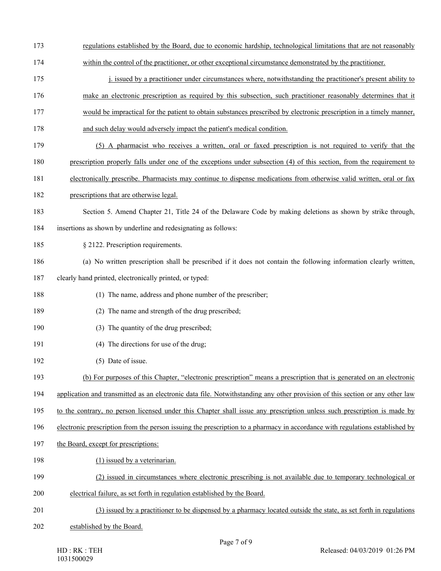- regulations established by the Board, due to economic hardship, technological limitations that are not reasonably
- within the control of the practitioner, or other exceptional circumstance demonstrated by the practitioner.
- 175 issued by a practitioner under circumstances where, notwithstanding the practitioner's present ability to
- make an electronic prescription as required by this subsection, such practitioner reasonably determines that it
- would be impractical for the patient to obtain substances prescribed by electronic prescription in a timely manner,
- and such delay would adversely impact the patient's medical condition.
- (5) A pharmacist who receives a written, oral or faxed prescription is not required to verify that the
- prescription properly falls under one of the exceptions under subsection (4) of this section, from the requirement to
- electronically prescribe. Pharmacists may continue to dispense medications from otherwise valid written, oral or fax
- prescriptions that are otherwise legal.
- Section 5. Amend Chapter 21, Title 24 of the Delaware Code by making deletions as shown by strike through,
- insertions as shown by underline and redesignating as follows:
- 185 § 2122. Prescription requirements.
- (a) No written prescription shall be prescribed if it does not contain the following information clearly written,
- clearly hand printed, electronically printed, or typed:
- (1) The name, address and phone number of the prescriber;
- (2) The name and strength of the drug prescribed;
- (3) The quantity of the drug prescribed;
- (4) The directions for use of the drug;
- (5) Date of issue.
- (b) For purposes of this Chapter, "electronic prescription" means a prescription that is generated on an electronic
- application and transmitted as an electronic data file. Notwithstanding any other provision of this section or any other law
- to the contrary, no person licensed under this Chapter shall issue any prescription unless such prescription is made by
- electronic prescription from the person issuing the prescription to a pharmacy in accordance with regulations established by
- the Board, except for prescriptions:
- 198 (1) issued by a veterinarian.
- (2) issued in circumstances where electronic prescribing is not available due to temporary technological or
- electrical failure, as set forth in regulation established by the Board.
- (3) issued by a practitioner to be dispensed by a pharmacy located outside the state, as set forth in regulations
- established by the Board.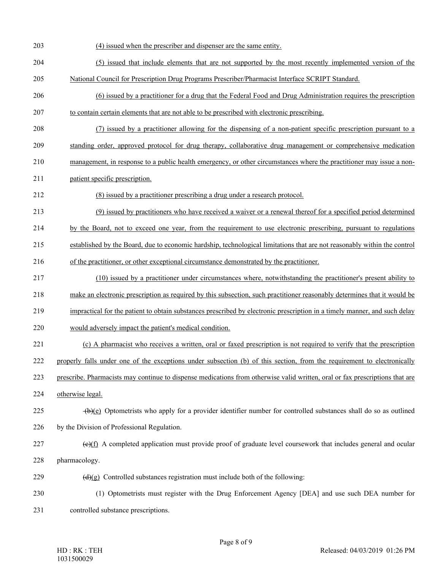(4) issued when the prescriber and dispenser are the same entity. (5) issued that include elements that are not supported by the most recently implemented version of the National Council for Prescription Drug Programs Prescriber/Pharmacist Interface SCRIPT Standard. (6) issued by a practitioner for a drug that the Federal Food and Drug Administration requires the prescription to contain certain elements that are not able to be prescribed with electronic prescribing. (7) issued by a practitioner allowing for the dispensing of a non-patient specific prescription pursuant to a standing order, approved protocol for drug therapy, collaborative drug management or comprehensive medication management, in response to a public health emergency, or other circumstances where the practitioner may issue a non- patient specific prescription. (8) issued by a practitioner prescribing a drug under a research protocol. (9) issued by practitioners who have received a waiver or a renewal thereof for a specified period determined by the Board, not to exceed one year, from the requirement to use electronic prescribing, pursuant to regulations established by the Board, due to economic hardship, technological limitations that are not reasonably within the control of the practitioner, or other exceptional circumstance demonstrated by the practitioner. (10) issued by a practitioner under circumstances where, notwithstanding the practitioner's present ability to make an electronic prescription as required by this subsection, such practitioner reasonably determines that it would be impractical for the patient to obtain substances prescribed by electronic prescription in a timely manner, and such delay would adversely impact the patient's medical condition. (c) A pharmacist who receives a written, oral or faxed prescription is not required to verify that the prescription properly falls under one of the exceptions under subsection (b) of this section, from the requirement to electronically prescribe. Pharmacists may continue to dispense medications from otherwise valid written, oral or fax prescriptions that are otherwise legal.  $\left\{\theta\right\}(e)$  Optometrists who apply for a provider identifier number for controlled substances shall do so as outlined by the Division of Professional Regulation. (e)(f) A completed application must provide proof of graduate level coursework that includes general and ocular pharmacology.  $(d)(g)$  Controlled substances registration must include both of the following: (1) Optometrists must register with the Drug Enforcement Agency [DEA] and use such DEA number for controlled substance prescriptions.